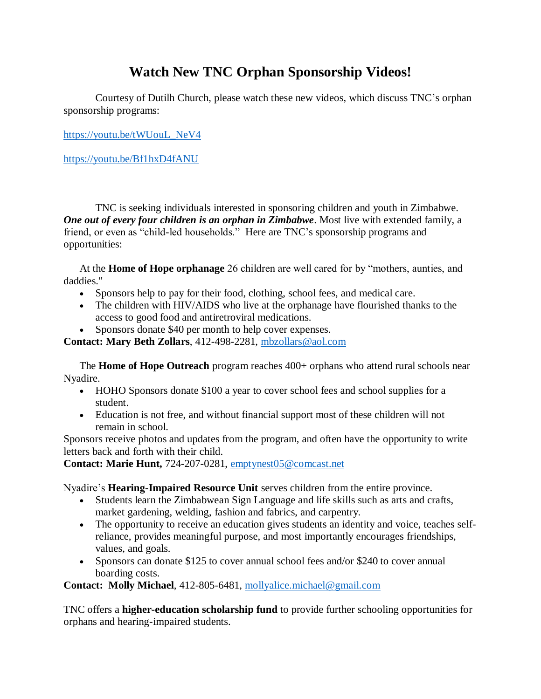## **Watch New TNC Orphan Sponsorship Videos!**

Courtesy of Dutilh Church, please watch these new videos, which discuss TNC's orphan sponsorship programs:

[https://youtu.be/tWUouL\\_NeV4](https://youtu.be/tWUouL_NeV4)

<https://youtu.be/Bf1hxD4fANU>

TNC is seeking individuals interested in sponsoring children and youth in Zimbabwe. *One out of every four children is an orphan in Zimbabwe*. Most live with extended family, a friend, or even as "child-led households." Here are TNC's sponsorship programs and opportunities:

At the **Home of Hope orphanage** 26 children are well cared for by "mothers, aunties, and daddies."

- Sponsors help to pay for their food, clothing, school fees, and medical care.
- The children with HIV/AIDS who live at the orphanage have flourished thanks to the access to good food and antiretroviral medications.
- Sponsors donate \$40 per month to help cover expenses.

**Contact: Mary Beth Zollars**, 412-498-2281, [mbzollars@aol.com](mailto:mbzollars@aol.com?subject=TNC%20-%20Sponsor%20an%20Orphan%20at%20Home%20of%20Hope)

The **Home of Hope Outreach** program reaches 400+ orphans who attend rural schools near Nyadire.

- HOHO Sponsors donate \$100 a year to cover school fees and school supplies for a student.
- Education is not free, and without financial support most of these children will not remain in school.

Sponsors receive photos and updates from the program, and often have the opportunity to write letters back and forth with their child.

**Contact: Marie Hunt,** 724-207-0281, [emptynest05@comcast.net](mailto:emptynest05@comcast.net?subject=TNC%20-%20School%20Sponsorship)

Nyadire's **Hearing-Impaired Resource Unit** serves children from the entire province.

- Students learn the Zimbabwean Sign Language and life skills such as arts and crafts, market gardening, welding, fashion and fabrics, and carpentry.
- The opportunity to receive an education gives students an identity and voice, teaches selfreliance, provides meaningful purpose, and most importantly encourages friendships, values, and goals.
- Sponsors can donate \$125 to cover annual school fees and/or \$240 to cover annual boarding costs.

**Contact: Molly Michael**, 412-805-6481, [mollyalice.michael@gmail.com](mailto:mollyalice.michael@gmail.com)

TNC offers a **higher-education scholarship fund** to provide further schooling opportunities for orphans and hearing-impaired students.